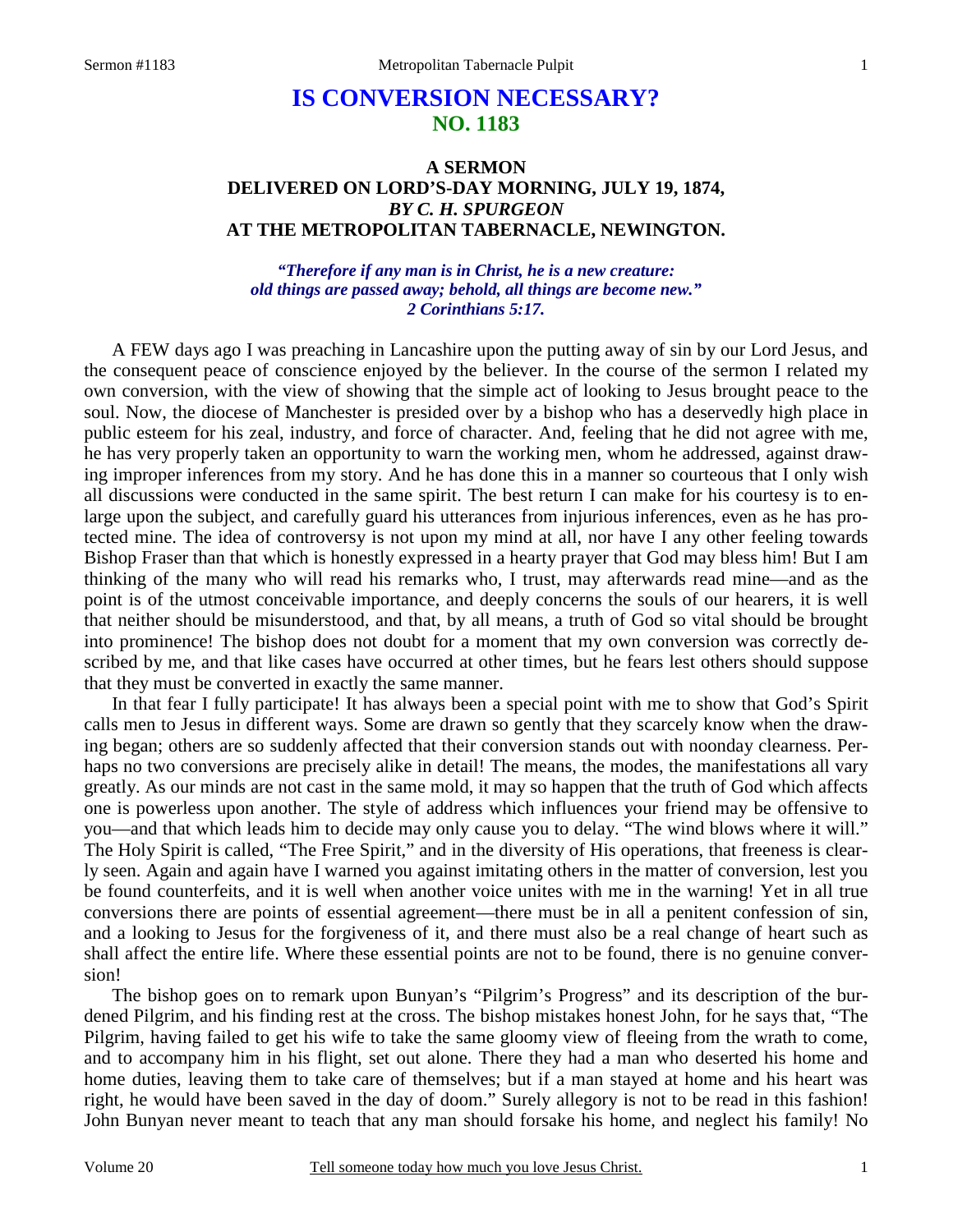# **IS CONVERSION NECESSARY? NO. 1183**

## **A SERMON DELIVERED ON LORD'S-DAY MORNING, JULY 19, 1874,**  *BY C. H. SPURGEON*  **AT THE METROPOLITAN TABERNACLE, NEWINGTON.**

#### *"Therefore if any man is in Christ, he is a new creature: old things are passed away; behold, all things are become new." 2 Corinthians 5:17.*

A FEW days ago I was preaching in Lancashire upon the putting away of sin by our Lord Jesus, and the consequent peace of conscience enjoyed by the believer. In the course of the sermon I related my own conversion, with the view of showing that the simple act of looking to Jesus brought peace to the soul. Now, the diocese of Manchester is presided over by a bishop who has a deservedly high place in public esteem for his zeal, industry, and force of character. And, feeling that he did not agree with me, he has very properly taken an opportunity to warn the working men, whom he addressed, against drawing improper inferences from my story. And he has done this in a manner so courteous that I only wish all discussions were conducted in the same spirit. The best return I can make for his courtesy is to enlarge upon the subject, and carefully guard his utterances from injurious inferences, even as he has protected mine. The idea of controversy is not upon my mind at all, nor have I any other feeling towards Bishop Fraser than that which is honestly expressed in a hearty prayer that God may bless him! But I am thinking of the many who will read his remarks who, I trust, may afterwards read mine—and as the point is of the utmost conceivable importance, and deeply concerns the souls of our hearers, it is well that neither should be misunderstood, and that, by all means, a truth of God so vital should be brought into prominence! The bishop does not doubt for a moment that my own conversion was correctly described by me, and that like cases have occurred at other times, but he fears lest others should suppose that they must be converted in exactly the same manner.

In that fear I fully participate! It has always been a special point with me to show that God's Spirit calls men to Jesus in different ways. Some are drawn so gently that they scarcely know when the drawing began; others are so suddenly affected that their conversion stands out with noonday clearness. Perhaps no two conversions are precisely alike in detail! The means, the modes, the manifestations all vary greatly. As our minds are not cast in the same mold, it may so happen that the truth of God which affects one is powerless upon another. The style of address which influences your friend may be offensive to you—and that which leads him to decide may only cause you to delay. "The wind blows where it will." The Holy Spirit is called, "The Free Spirit," and in the diversity of His operations, that freeness is clearly seen. Again and again have I warned you against imitating others in the matter of conversion, lest you be found counterfeits, and it is well when another voice unites with me in the warning! Yet in all true conversions there are points of essential agreement—there must be in all a penitent confession of sin, and a looking to Jesus for the forgiveness of it, and there must also be a real change of heart such as shall affect the entire life. Where these essential points are not to be found, there is no genuine conversion!

The bishop goes on to remark upon Bunyan's "Pilgrim's Progress" and its description of the burdened Pilgrim, and his finding rest at the cross. The bishop mistakes honest John, for he says that, "The Pilgrim, having failed to get his wife to take the same gloomy view of fleeing from the wrath to come, and to accompany him in his flight, set out alone. There they had a man who deserted his home and home duties, leaving them to take care of themselves; but if a man stayed at home and his heart was right, he would have been saved in the day of doom." Surely allegory is not to be read in this fashion! John Bunyan never meant to teach that any man should forsake his home, and neglect his family! No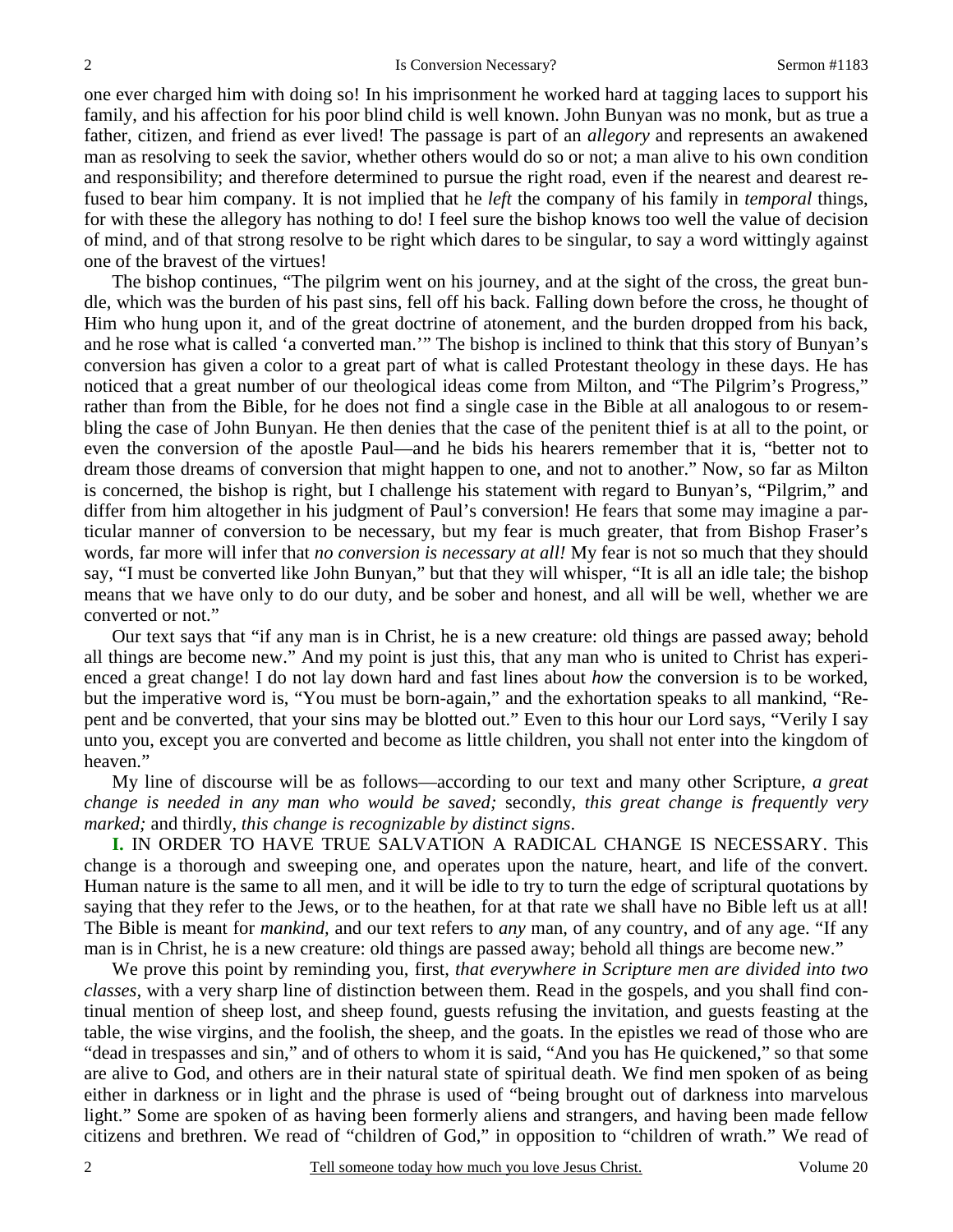one ever charged him with doing so! In his imprisonment he worked hard at tagging laces to support his family, and his affection for his poor blind child is well known. John Bunyan was no monk, but as true a father, citizen, and friend as ever lived! The passage is part of an *allegory* and represents an awakened man as resolving to seek the savior, whether others would do so or not; a man alive to his own condition and responsibility; and therefore determined to pursue the right road, even if the nearest and dearest refused to bear him company. It is not implied that he *left* the company of his family in *temporal* things, for with these the allegory has nothing to do! I feel sure the bishop knows too well the value of decision of mind, and of that strong resolve to be right which dares to be singular, to say a word wittingly against one of the bravest of the virtues!

The bishop continues, "The pilgrim went on his journey, and at the sight of the cross, the great bundle, which was the burden of his past sins, fell off his back. Falling down before the cross, he thought of Him who hung upon it, and of the great doctrine of atonement, and the burden dropped from his back, and he rose what is called 'a converted man.'" The bishop is inclined to think that this story of Bunyan's conversion has given a color to a great part of what is called Protestant theology in these days. He has noticed that a great number of our theological ideas come from Milton, and "The Pilgrim's Progress," rather than from the Bible, for he does not find a single case in the Bible at all analogous to or resembling the case of John Bunyan. He then denies that the case of the penitent thief is at all to the point, or even the conversion of the apostle Paul—and he bids his hearers remember that it is, "better not to dream those dreams of conversion that might happen to one, and not to another." Now, so far as Milton is concerned, the bishop is right, but I challenge his statement with regard to Bunyan's, "Pilgrim," and differ from him altogether in his judgment of Paul's conversion! He fears that some may imagine a particular manner of conversion to be necessary, but my fear is much greater, that from Bishop Fraser's words, far more will infer that *no conversion is necessary at all!* My fear is not so much that they should say, "I must be converted like John Bunyan," but that they will whisper, "It is all an idle tale; the bishop means that we have only to do our duty, and be sober and honest, and all will be well, whether we are converted or not."

Our text says that "if any man is in Christ, he is a new creature: old things are passed away; behold all things are become new." And my point is just this, that any man who is united to Christ has experienced a great change! I do not lay down hard and fast lines about *how* the conversion is to be worked, but the imperative word is, "You must be born-again," and the exhortation speaks to all mankind, "Repent and be converted, that your sins may be blotted out." Even to this hour our Lord says, "Verily I say unto you, except you are converted and become as little children, you shall not enter into the kingdom of heaven."

My line of discourse will be as follows—according to our text and many other Scripture, *a great change is needed in any man who would be saved;* secondly, *this great change is frequently very marked;* and thirdly, *this change is recognizable by distinct signs*.

**I.** IN ORDER TO HAVE TRUE SALVATION A RADICAL CHANGE IS NECESSARY. This change is a thorough and sweeping one, and operates upon the nature, heart, and life of the convert. Human nature is the same to all men, and it will be idle to try to turn the edge of scriptural quotations by saying that they refer to the Jews, or to the heathen, for at that rate we shall have no Bible left us at all! The Bible is meant for *mankind,* and our text refers to *any* man, of any country, and of any age. "If any man is in Christ, he is a new creature: old things are passed away; behold all things are become new."

We prove this point by reminding you, first, *that everywhere in Scripture men are divided into two classes,* with a very sharp line of distinction between them. Read in the gospels, and you shall find continual mention of sheep lost, and sheep found, guests refusing the invitation, and guests feasting at the table, the wise virgins, and the foolish, the sheep, and the goats. In the epistles we read of those who are "dead in trespasses and sin," and of others to whom it is said, "And you has He quickened," so that some are alive to God, and others are in their natural state of spiritual death. We find men spoken of as being either in darkness or in light and the phrase is used of "being brought out of darkness into marvelous light." Some are spoken of as having been formerly aliens and strangers, and having been made fellow citizens and brethren. We read of "children of God," in opposition to "children of wrath." We read of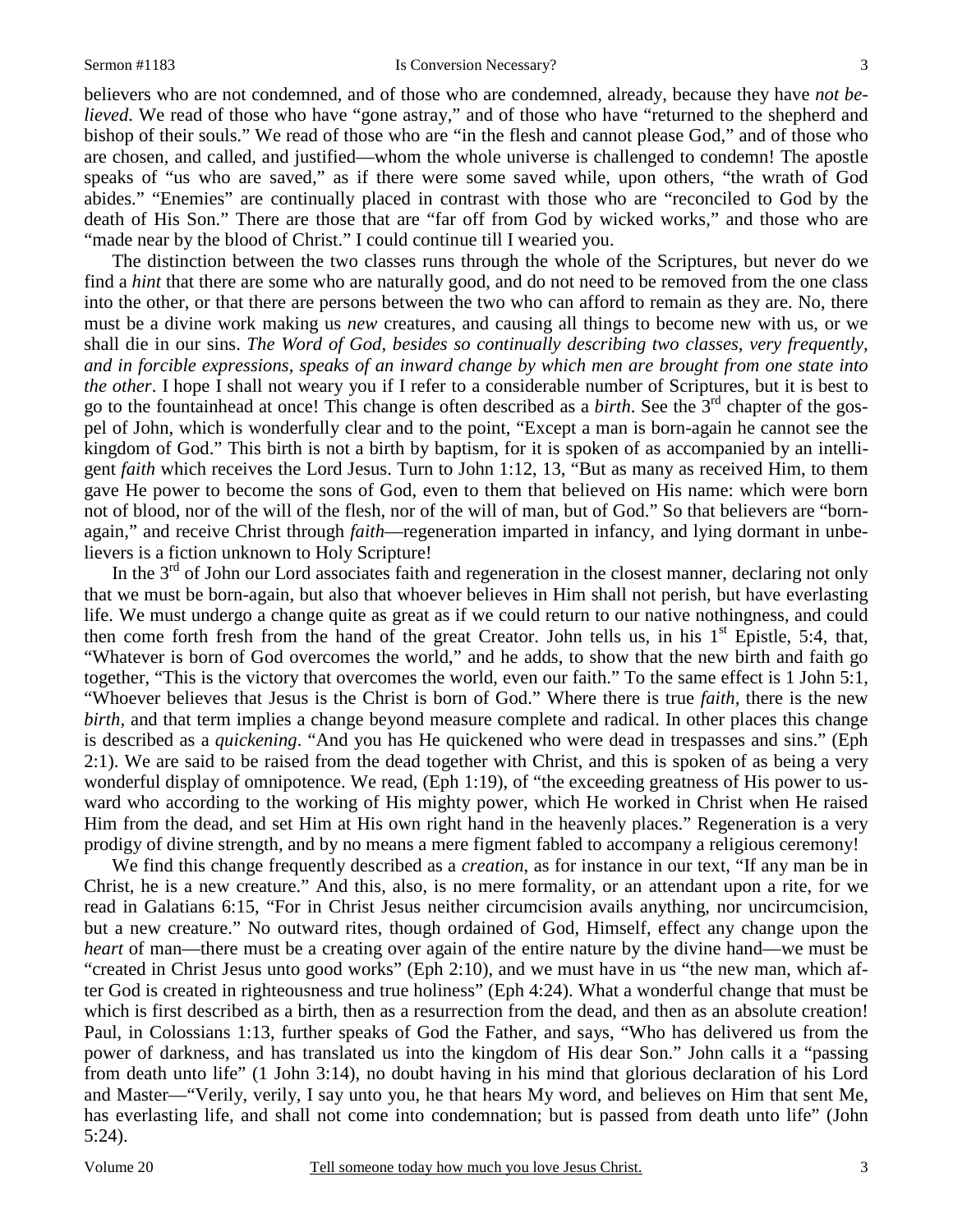believers who are not condemned, and of those who are condemned, already, because they have *not believed*. We read of those who have "gone astray," and of those who have "returned to the shepherd and bishop of their souls." We read of those who are "in the flesh and cannot please God," and of those who are chosen, and called, and justified—whom the whole universe is challenged to condemn! The apostle speaks of "us who are saved," as if there were some saved while, upon others, "the wrath of God abides." "Enemies" are continually placed in contrast with those who are "reconciled to God by the death of His Son." There are those that are "far off from God by wicked works," and those who are "made near by the blood of Christ." I could continue till I wearied you.

The distinction between the two classes runs through the whole of the Scriptures, but never do we find a *hint* that there are some who are naturally good, and do not need to be removed from the one class into the other, or that there are persons between the two who can afford to remain as they are. No, there must be a divine work making us *new* creatures, and causing all things to become new with us, or we shall die in our sins. *The Word of God, besides so continually describing two classes, very frequently, and in forcible expressions, speaks of an inward change by which men are brought from one state into the other*. I hope I shall not weary you if I refer to a considerable number of Scriptures, but it is best to go to the fountainhead at once! This change is often described as a *birth*. See the 3rd chapter of the gospel of John, which is wonderfully clear and to the point, "Except a man is born-again he cannot see the kingdom of God." This birth is not a birth by baptism, for it is spoken of as accompanied by an intelligent *faith* which receives the Lord Jesus. Turn to John 1:12, 13, "But as many as received Him, to them gave He power to become the sons of God, even to them that believed on His name: which were born not of blood, nor of the will of the flesh, nor of the will of man, but of God." So that believers are "bornagain," and receive Christ through *faith*—regeneration imparted in infancy, and lying dormant in unbelievers is a fiction unknown to Holy Scripture!

In the  $3<sup>rd</sup>$  of John our Lord associates faith and regeneration in the closest manner, declaring not only that we must be born-again, but also that whoever believes in Him shall not perish, but have everlasting life. We must undergo a change quite as great as if we could return to our native nothingness, and could then come forth fresh from the hand of the great Creator. John tells us, in his  $1<sup>st</sup>$  Epistle, 5:4, that, "Whatever is born of God overcomes the world," and he adds, to show that the new birth and faith go together, "This is the victory that overcomes the world, even our faith." To the same effect is 1 John 5:1, "Whoever believes that Jesus is the Christ is born of God." Where there is true *faith,* there is the new *birth*, and that term implies a change beyond measure complete and radical. In other places this change is described as a *quickening*. "And you has He quickened who were dead in trespasses and sins." (Eph 2:1). We are said to be raised from the dead together with Christ, and this is spoken of as being a very wonderful display of omnipotence. We read, (Eph 1:19), of "the exceeding greatness of His power to usward who according to the working of His mighty power, which He worked in Christ when He raised Him from the dead, and set Him at His own right hand in the heavenly places." Regeneration is a very prodigy of divine strength, and by no means a mere figment fabled to accompany a religious ceremony!

We find this change frequently described as a *creation*, as for instance in our text, "If any man be in Christ, he is a new creature." And this, also, is no mere formality, or an attendant upon a rite, for we read in Galatians 6:15, "For in Christ Jesus neither circumcision avails anything, nor uncircumcision, but a new creature." No outward rites, though ordained of God, Himself, effect any change upon the *heart* of man—there must be a creating over again of the entire nature by the divine hand—we must be "created in Christ Jesus unto good works" (Eph 2:10), and we must have in us "the new man, which after God is created in righteousness and true holiness" (Eph 4:24). What a wonderful change that must be which is first described as a birth, then as a resurrection from the dead, and then as an absolute creation! Paul, in Colossians 1:13, further speaks of God the Father, and says, "Who has delivered us from the power of darkness, and has translated us into the kingdom of His dear Son." John calls it a "passing from death unto life" (1 John 3:14), no doubt having in his mind that glorious declaration of his Lord and Master—"Verily, verily, I say unto you, he that hears My word, and believes on Him that sent Me, has everlasting life, and shall not come into condemnation; but is passed from death unto life" (John 5:24).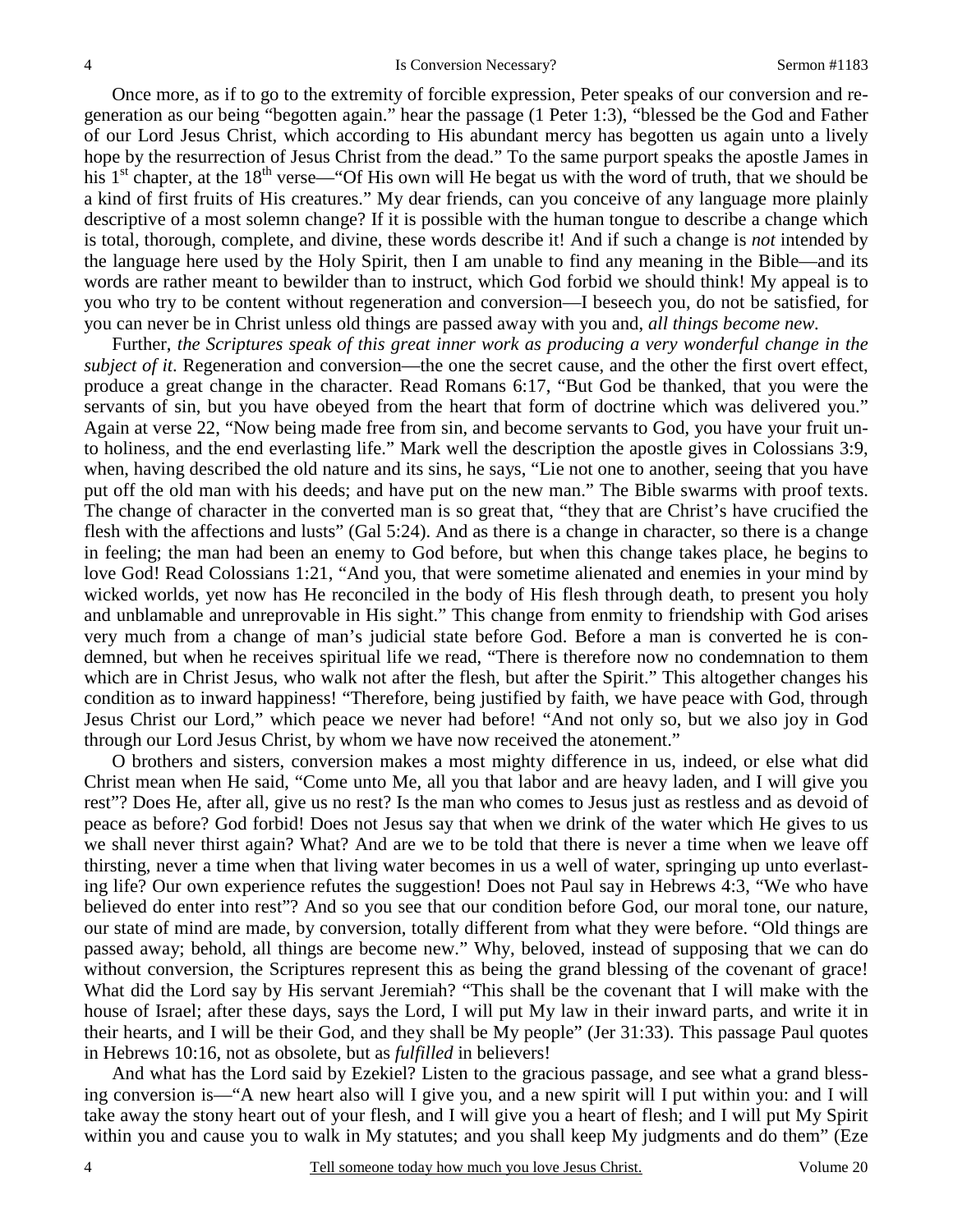Once more, as if to go to the extremity of forcible expression, Peter speaks of our conversion and regeneration as our being "begotten again." hear the passage (1 Peter 1:3), "blessed be the God and Father of our Lord Jesus Christ, which according to His abundant mercy has begotten us again unto a lively hope by the resurrection of Jesus Christ from the dead." To the same purport speaks the apostle James in his  $1<sup>st</sup>$  chapter, at the  $18<sup>th</sup>$  verse—"Of His own will He begat us with the word of truth, that we should be a kind of first fruits of His creatures." My dear friends, can you conceive of any language more plainly descriptive of a most solemn change? If it is possible with the human tongue to describe a change which is total, thorough, complete, and divine, these words describe it! And if such a change is *not* intended by the language here used by the Holy Spirit, then I am unable to find any meaning in the Bible—and its words are rather meant to bewilder than to instruct, which God forbid we should think! My appeal is to you who try to be content without regeneration and conversion—I beseech you, do not be satisfied, for you can never be in Christ unless old things are passed away with you and, *all things become new.*

Further, *the Scriptures speak of this great inner work as producing a very wonderful change in the subject of it*. Regeneration and conversion—the one the secret cause, and the other the first overt effect, produce a great change in the character. Read Romans 6:17, "But God be thanked, that you were the servants of sin, but you have obeyed from the heart that form of doctrine which was delivered you." Again at verse 22, "Now being made free from sin, and become servants to God, you have your fruit unto holiness, and the end everlasting life." Mark well the description the apostle gives in Colossians 3:9, when, having described the old nature and its sins, he says, "Lie not one to another, seeing that you have put off the old man with his deeds; and have put on the new man." The Bible swarms with proof texts. The change of character in the converted man is so great that, "they that are Christ's have crucified the flesh with the affections and lusts" (Gal 5:24). And as there is a change in character, so there is a change in feeling; the man had been an enemy to God before, but when this change takes place, he begins to love God! Read Colossians 1:21, "And you, that were sometime alienated and enemies in your mind by wicked worlds, yet now has He reconciled in the body of His flesh through death, to present you holy and unblamable and unreprovable in His sight." This change from enmity to friendship with God arises very much from a change of man's judicial state before God. Before a man is converted he is condemned, but when he receives spiritual life we read, "There is therefore now no condemnation to them which are in Christ Jesus, who walk not after the flesh, but after the Spirit." This altogether changes his condition as to inward happiness! "Therefore, being justified by faith, we have peace with God, through Jesus Christ our Lord," which peace we never had before! "And not only so, but we also joy in God through our Lord Jesus Christ, by whom we have now received the atonement."

O brothers and sisters, conversion makes a most mighty difference in us, indeed, or else what did Christ mean when He said, "Come unto Me, all you that labor and are heavy laden, and I will give you rest"? Does He, after all, give us no rest? Is the man who comes to Jesus just as restless and as devoid of peace as before? God forbid! Does not Jesus say that when we drink of the water which He gives to us we shall never thirst again? What? And are we to be told that there is never a time when we leave off thirsting, never a time when that living water becomes in us a well of water, springing up unto everlasting life? Our own experience refutes the suggestion! Does not Paul say in Hebrews 4:3, "We who have believed do enter into rest"? And so you see that our condition before God, our moral tone, our nature, our state of mind are made, by conversion, totally different from what they were before. "Old things are passed away; behold, all things are become new." Why, beloved, instead of supposing that we can do without conversion, the Scriptures represent this as being the grand blessing of the covenant of grace! What did the Lord say by His servant Jeremiah? "This shall be the covenant that I will make with the house of Israel; after these days, says the Lord, I will put My law in their inward parts, and write it in their hearts, and I will be their God, and they shall be My people" (Jer 31:33). This passage Paul quotes in Hebrews 10:16, not as obsolete, but as *fulfilled* in believers!

And what has the Lord said by Ezekiel? Listen to the gracious passage, and see what a grand blessing conversion is—"A new heart also will I give you, and a new spirit will I put within you: and I will take away the stony heart out of your flesh, and I will give you a heart of flesh; and I will put My Spirit within you and cause you to walk in My statutes; and you shall keep My judgments and do them" (Eze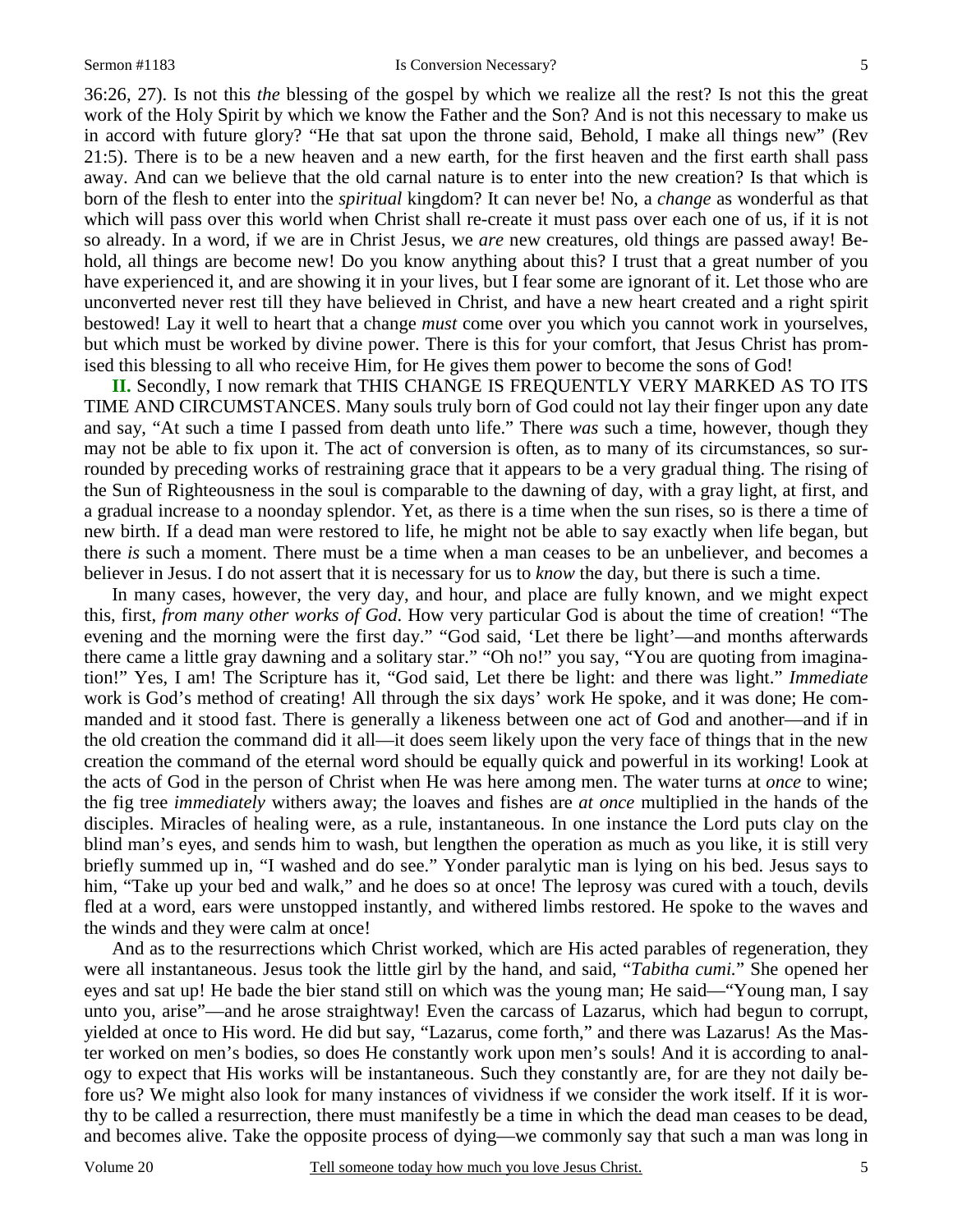36:26, 27). Is not this *the* blessing of the gospel by which we realize all the rest? Is not this the great work of the Holy Spirit by which we know the Father and the Son? And is not this necessary to make us in accord with future glory? "He that sat upon the throne said, Behold, I make all things new" (Rev 21:5). There is to be a new heaven and a new earth, for the first heaven and the first earth shall pass away. And can we believe that the old carnal nature is to enter into the new creation? Is that which is born of the flesh to enter into the *spiritual* kingdom? It can never be! No, a *change* as wonderful as that which will pass over this world when Christ shall re-create it must pass over each one of us, if it is not so already. In a word, if we are in Christ Jesus, we *are* new creatures, old things are passed away! Behold, all things are become new! Do you know anything about this? I trust that a great number of you have experienced it, and are showing it in your lives, but I fear some are ignorant of it. Let those who are unconverted never rest till they have believed in Christ, and have a new heart created and a right spirit bestowed! Lay it well to heart that a change *must* come over you which you cannot work in yourselves, but which must be worked by divine power. There is this for your comfort, that Jesus Christ has promised this blessing to all who receive Him, for He gives them power to become the sons of God!

**II.** Secondly, I now remark that THIS CHANGE IS FREQUENTLY VERY MARKED AS TO ITS TIME AND CIRCUMSTANCES. Many souls truly born of God could not lay their finger upon any date and say, "At such a time I passed from death unto life." There *was* such a time, however, though they may not be able to fix upon it. The act of conversion is often, as to many of its circumstances, so surrounded by preceding works of restraining grace that it appears to be a very gradual thing. The rising of the Sun of Righteousness in the soul is comparable to the dawning of day, with a gray light, at first, and a gradual increase to a noonday splendor. Yet, as there is a time when the sun rises, so is there a time of new birth. If a dead man were restored to life, he might not be able to say exactly when life began, but there *is* such a moment. There must be a time when a man ceases to be an unbeliever, and becomes a believer in Jesus. I do not assert that it is necessary for us to *know* the day, but there is such a time.

In many cases, however, the very day, and hour, and place are fully known, and we might expect this, first, *from many other works of God*. How very particular God is about the time of creation! "The evening and the morning were the first day." "God said, 'Let there be light'—and months afterwards there came a little gray dawning and a solitary star." "Oh no!" you say, "You are quoting from imagination!" Yes, I am! The Scripture has it, "God said, Let there be light: and there was light." *Immediate* work is God's method of creating! All through the six days' work He spoke, and it was done; He commanded and it stood fast. There is generally a likeness between one act of God and another—and if in the old creation the command did it all—it does seem likely upon the very face of things that in the new creation the command of the eternal word should be equally quick and powerful in its working! Look at the acts of God in the person of Christ when He was here among men. The water turns at *once* to wine; the fig tree *immediately* withers away; the loaves and fishes are *at once* multiplied in the hands of the disciples. Miracles of healing were, as a rule, instantaneous. In one instance the Lord puts clay on the blind man's eyes, and sends him to wash, but lengthen the operation as much as you like, it is still very briefly summed up in, "I washed and do see." Yonder paralytic man is lying on his bed. Jesus says to him, "Take up your bed and walk," and he does so at once! The leprosy was cured with a touch, devils fled at a word, ears were unstopped instantly, and withered limbs restored. He spoke to the waves and the winds and they were calm at once!

And as to the resurrections which Christ worked, which are His acted parables of regeneration, they were all instantaneous. Jesus took the little girl by the hand, and said, "*Tabitha cumi.*" She opened her eyes and sat up! He bade the bier stand still on which was the young man; He said—"Young man, I say unto you, arise"—and he arose straightway! Even the carcass of Lazarus, which had begun to corrupt, yielded at once to His word. He did but say, "Lazarus, come forth," and there was Lazarus! As the Master worked on men's bodies, so does He constantly work upon men's souls! And it is according to analogy to expect that His works will be instantaneous. Such they constantly are, for are they not daily before us? We might also look for many instances of vividness if we consider the work itself. If it is worthy to be called a resurrection, there must manifestly be a time in which the dead man ceases to be dead, and becomes alive. Take the opposite process of dying—we commonly say that such a man was long in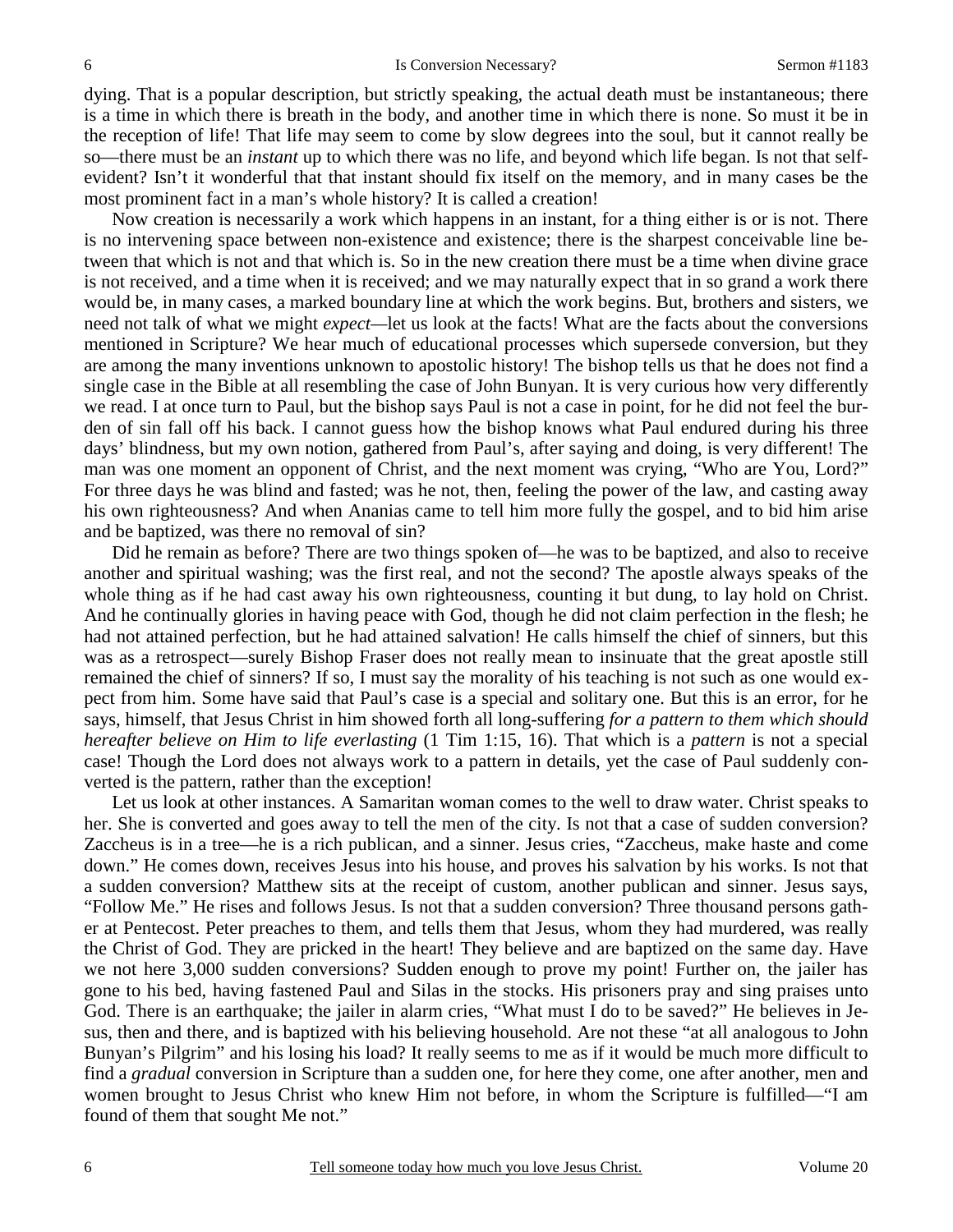dying. That is a popular description, but strictly speaking, the actual death must be instantaneous; there is a time in which there is breath in the body, and another time in which there is none. So must it be in the reception of life! That life may seem to come by slow degrees into the soul, but it cannot really be so—there must be an *instant* up to which there was no life, and beyond which life began. Is not that selfevident? Isn't it wonderful that that instant should fix itself on the memory, and in many cases be the most prominent fact in a man's whole history? It is called a creation!

Now creation is necessarily a work which happens in an instant, for a thing either is or is not. There is no intervening space between non-existence and existence; there is the sharpest conceivable line between that which is not and that which is. So in the new creation there must be a time when divine grace is not received, and a time when it is received; and we may naturally expect that in so grand a work there would be, in many cases, a marked boundary line at which the work begins. But, brothers and sisters, we need not talk of what we might *expect—*let us look at the facts! What are the facts about the conversions mentioned in Scripture? We hear much of educational processes which supersede conversion, but they are among the many inventions unknown to apostolic history! The bishop tells us that he does not find a single case in the Bible at all resembling the case of John Bunyan. It is very curious how very differently we read. I at once turn to Paul, but the bishop says Paul is not a case in point, for he did not feel the burden of sin fall off his back. I cannot guess how the bishop knows what Paul endured during his three days' blindness, but my own notion, gathered from Paul's, after saying and doing, is very different! The man was one moment an opponent of Christ, and the next moment was crying, "Who are You, Lord?" For three days he was blind and fasted; was he not, then, feeling the power of the law, and casting away his own righteousness? And when Ananias came to tell him more fully the gospel, and to bid him arise and be baptized, was there no removal of sin?

Did he remain as before? There are two things spoken of—he was to be baptized, and also to receive another and spiritual washing; was the first real, and not the second? The apostle always speaks of the whole thing as if he had cast away his own righteousness, counting it but dung, to lay hold on Christ. And he continually glories in having peace with God, though he did not claim perfection in the flesh; he had not attained perfection, but he had attained salvation! He calls himself the chief of sinners, but this was as a retrospect—surely Bishop Fraser does not really mean to insinuate that the great apostle still remained the chief of sinners? If so, I must say the morality of his teaching is not such as one would expect from him. Some have said that Paul's case is a special and solitary one. But this is an error, for he says, himself, that Jesus Christ in him showed forth all long-suffering *for a pattern to them which should hereafter believe on Him to life everlasting* (1 Tim 1:15, 16). That which is a *pattern* is not a special case! Though the Lord does not always work to a pattern in details, yet the case of Paul suddenly converted is the pattern, rather than the exception!

Let us look at other instances. A Samaritan woman comes to the well to draw water. Christ speaks to her. She is converted and goes away to tell the men of the city. Is not that a case of sudden conversion? Zaccheus is in a tree—he is a rich publican, and a sinner. Jesus cries, "Zaccheus, make haste and come down." He comes down, receives Jesus into his house, and proves his salvation by his works. Is not that a sudden conversion? Matthew sits at the receipt of custom, another publican and sinner. Jesus says, "Follow Me." He rises and follows Jesus. Is not that a sudden conversion? Three thousand persons gather at Pentecost. Peter preaches to them, and tells them that Jesus, whom they had murdered, was really the Christ of God. They are pricked in the heart! They believe and are baptized on the same day. Have we not here 3,000 sudden conversions? Sudden enough to prove my point! Further on, the jailer has gone to his bed, having fastened Paul and Silas in the stocks. His prisoners pray and sing praises unto God. There is an earthquake; the jailer in alarm cries, "What must I do to be saved?" He believes in Jesus, then and there, and is baptized with his believing household. Are not these "at all analogous to John Bunyan's Pilgrim" and his losing his load? It really seems to me as if it would be much more difficult to find a *gradual* conversion in Scripture than a sudden one, for here they come, one after another, men and women brought to Jesus Christ who knew Him not before, in whom the Scripture is fulfilled—"I am found of them that sought Me not."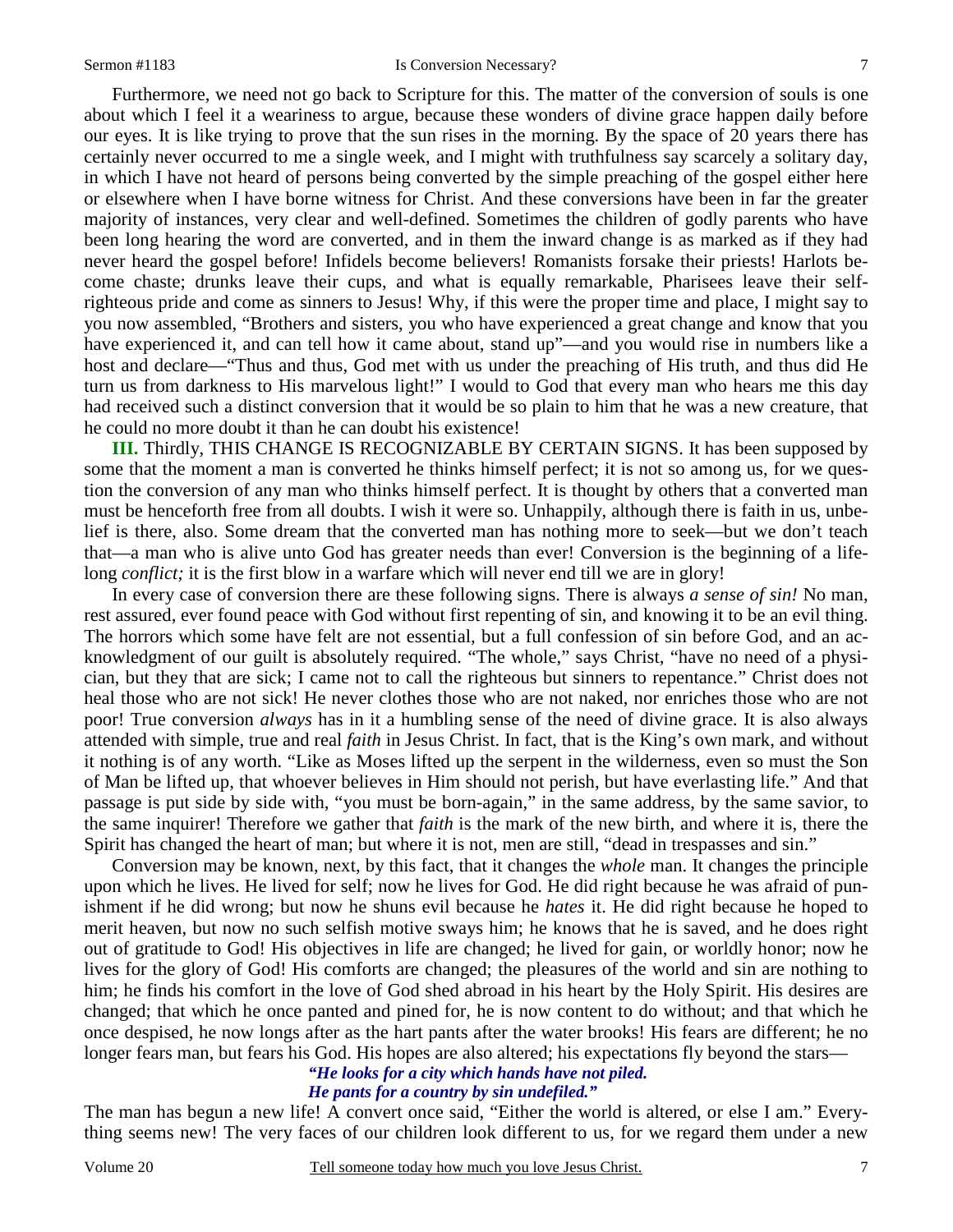Furthermore, we need not go back to Scripture for this. The matter of the conversion of souls is one about which I feel it a weariness to argue, because these wonders of divine grace happen daily before our eyes. It is like trying to prove that the sun rises in the morning. By the space of 20 years there has certainly never occurred to me a single week, and I might with truthfulness say scarcely a solitary day, in which I have not heard of persons being converted by the simple preaching of the gospel either here or elsewhere when I have borne witness for Christ. And these conversions have been in far the greater majority of instances, very clear and well-defined. Sometimes the children of godly parents who have been long hearing the word are converted, and in them the inward change is as marked as if they had never heard the gospel before! Infidels become believers! Romanists forsake their priests! Harlots become chaste; drunks leave their cups, and what is equally remarkable, Pharisees leave their selfrighteous pride and come as sinners to Jesus! Why, if this were the proper time and place, I might say to you now assembled, "Brothers and sisters, you who have experienced a great change and know that you have experienced it, and can tell how it came about, stand up"—and you would rise in numbers like a host and declare—"Thus and thus, God met with us under the preaching of His truth, and thus did He turn us from darkness to His marvelous light!" I would to God that every man who hears me this day had received such a distinct conversion that it would be so plain to him that he was a new creature, that

he could no more doubt it than he can doubt his existence! **III.** Thirdly, THIS CHANGE IS RECOGNIZABLE BY CERTAIN SIGNS. It has been supposed by some that the moment a man is converted he thinks himself perfect; it is not so among us, for we ques-

tion the conversion of any man who thinks himself perfect. It is thought by others that a converted man must be henceforth free from all doubts. I wish it were so. Unhappily, although there is faith in us, unbelief is there, also. Some dream that the converted man has nothing more to seek—but we don't teach that—a man who is alive unto God has greater needs than ever! Conversion is the beginning of a lifelong *conflict*; it is the first blow in a warfare which will never end till we are in glory!

In every case of conversion there are these following signs. There is always *a sense of sin!* No man, rest assured, ever found peace with God without first repenting of sin, and knowing it to be an evil thing. The horrors which some have felt are not essential, but a full confession of sin before God, and an acknowledgment of our guilt is absolutely required. "The whole," says Christ, "have no need of a physician, but they that are sick; I came not to call the righteous but sinners to repentance." Christ does not heal those who are not sick! He never clothes those who are not naked, nor enriches those who are not poor! True conversion *always* has in it a humbling sense of the need of divine grace. It is also always attended with simple, true and real *faith* in Jesus Christ. In fact, that is the King's own mark, and without it nothing is of any worth. "Like as Moses lifted up the serpent in the wilderness, even so must the Son of Man be lifted up, that whoever believes in Him should not perish, but have everlasting life." And that passage is put side by side with, "you must be born-again," in the same address, by the same savior, to the same inquirer! Therefore we gather that *faith* is the mark of the new birth, and where it is, there the Spirit has changed the heart of man; but where it is not, men are still, "dead in trespasses and sin."

Conversion may be known, next, by this fact, that it changes the *whole* man. It changes the principle upon which he lives. He lived for self; now he lives for God. He did right because he was afraid of punishment if he did wrong; but now he shuns evil because he *hates* it. He did right because he hoped to merit heaven, but now no such selfish motive sways him; he knows that he is saved, and he does right out of gratitude to God! His objectives in life are changed; he lived for gain, or worldly honor; now he lives for the glory of God! His comforts are changed; the pleasures of the world and sin are nothing to him; he finds his comfort in the love of God shed abroad in his heart by the Holy Spirit. His desires are changed; that which he once panted and pined for, he is now content to do without; and that which he once despised, he now longs after as the hart pants after the water brooks! His fears are different; he no longer fears man, but fears his God. His hopes are also altered; his expectations fly beyond the stars—

#### *"He looks for a city which hands have not piled. He pants for a country by sin undefiled."*

The man has begun a new life! A convert once said, "Either the world is altered, or else I am." Everything seems new! The very faces of our children look different to us, for we regard them under a new